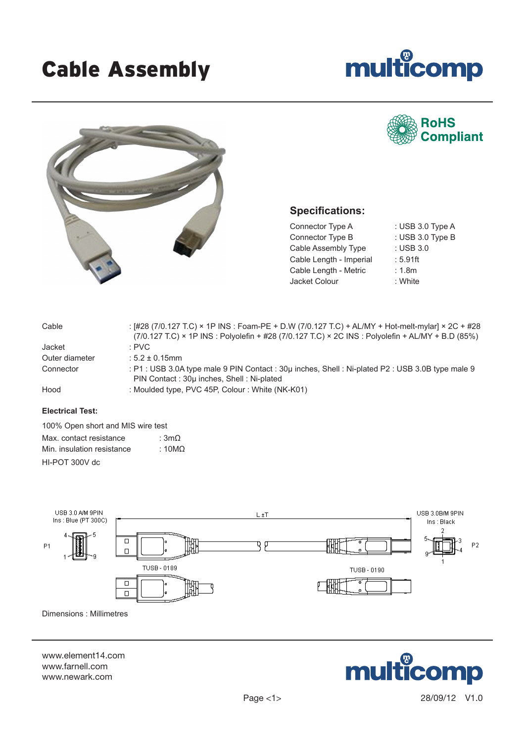# Cable Assembly



**RoHS** 

**Compliant** 



## **Specifications:**

Connector Type A : USB 3.0 Type A Connector Type B : USB 3.0 Type B Cable Assembly Type : USB 3.0 Cable Length - Imperial : 5.91ft Cable Length - Metric : 1.8m Jacket Colour : White

| Cable          | : [#28 (7/0.127 T.C) × 1P INS : Foam-PE + D.W (7/0.127 T.C) + AL/MY + Hot-melt-mylar] × 2C + #28<br>$(7/0.127$ T.C) × 1P INS : Polyolefin + #28 (7/0.127 T.C) × 2C INS : Polyolefin + AL/MY + B.D (85%) |
|----------------|---------------------------------------------------------------------------------------------------------------------------------------------------------------------------------------------------------|
| Jacket         | : PVC                                                                                                                                                                                                   |
| Outer diameter | $: 5.2 \pm 0.15$ mm                                                                                                                                                                                     |
| Connector      | : P1: USB 3.0A type male 9 PIN Contact: 30µ inches, Shell: Ni-plated P2: USB 3.0B type male 9<br>PIN Contact: 30µ inches, Shell: Ni-plated                                                              |
| Hood           | : Moulded type, PVC 45P, Colour : White (NK-K01)                                                                                                                                                        |

### **Electrical Test:**

100% Open short and MIS wire test Max. contact resistance :  $3m\Omega$ Min. insulation resistance :  $10M\Omega$ HI-POT 300V dc



Dimensions : Millimetres

www.element14.com www.farnell.com www.newark.com